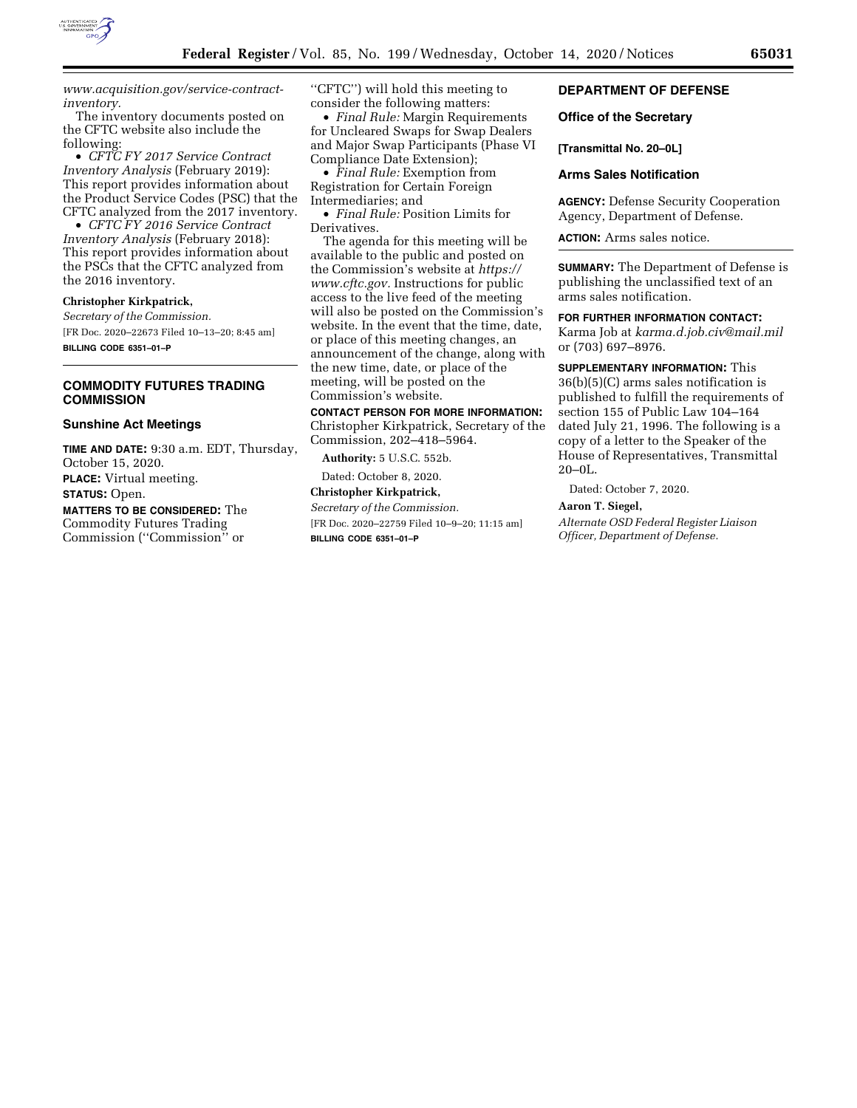

*[www.acquisition.gov/service-contract](https://www.acquisition.gov/service-contract-inventory)[inventory.](https://www.acquisition.gov/service-contract-inventory)* 

The inventory documents posted on the CFTC website also include the following:

• *CFTC FY 2017 Service Contract Inventory Analysis* (February 2019): This report provides information about the Product Service Codes (PSC) that the CFTC analyzed from the 2017 inventory.

• *CFTC FY 2016 Service Contract Inventory Analysis* (February 2018): This report provides information about the PSCs that the CFTC analyzed from the 2016 inventory.

#### **Christopher Kirkpatrick,**

*Secretary of the Commission.*  [FR Doc. 2020–22673 Filed 10–13–20; 8:45 am] **BILLING CODE 6351–01–P** 

## **COMMODITY FUTURES TRADING COMMISSION**

#### **Sunshine Act Meetings**

**TIME AND DATE:** 9:30 a.m. EDT, Thursday, October 15, 2020. **PLACE:** Virtual meeting. **STATUS:** Open. **MATTERS TO BE CONSIDERED:** The Commodity Futures Trading Commission (''Commission'' or

''CFTC'') will hold this meeting to consider the following matters:

• *Final Rule:* Margin Requirements for Uncleared Swaps for Swap Dealers and Major Swap Participants (Phase VI Compliance Date Extension);

• *Final Rule:* Exemption from Registration for Certain Foreign Intermediaries; and

• *Final Rule:* Position Limits for Derivatives.

The agenda for this meeting will be available to the public and posted on the Commission's website at *[https://](https://www.cftc.gov) [www.cftc.gov.](https://www.cftc.gov)* Instructions for public access to the live feed of the meeting will also be posted on the Commission's website. In the event that the time, date, or place of this meeting changes, an announcement of the change, along with the new time, date, or place of the meeting, will be posted on the Commission's website.

**CONTACT PERSON FOR MORE INFORMATION:**  Christopher Kirkpatrick, Secretary of the Commission, 202–418–5964.

**Authority:** 5 U.S.C. 552b.

## Dated: October 8, 2020. **Christopher Kirkpatrick,**

*Secretary of the Commission.* 

[FR Doc. 2020–22759 Filed 10–9–20; 11:15 am] **BILLING CODE 6351–01–P** 

## **DEPARTMENT OF DEFENSE**

#### **Office of the Secretary**

#### **[Transmittal No. 20–0L]**

## **Arms Sales Notification**

**AGENCY:** Defense Security Cooperation Agency, Department of Defense.

**ACTION:** Arms sales notice.

**SUMMARY:** The Department of Defense is publishing the unclassified text of an arms sales notification.

## **FOR FURTHER INFORMATION CONTACT:**

Karma Job at *[karma.d.job.civ@mail.mil](mailto:karma.d.job.civ@mail.mil)*  or (703) 697–8976.

## **SUPPLEMENTARY INFORMATION:** This 36(b)(5)(C) arms sales notification is published to fulfill the requirements of section 155 of Public Law 104–164 dated July 21, 1996. The following is a copy of a letter to the Speaker of the

House of Representatives, Transmittal

Dated: October 7, 2020.

#### **Aaron T. Siegel,**

 $20 - 0$ L.

*Alternate OSD Federal Register Liaison Officer, Department of Defense.*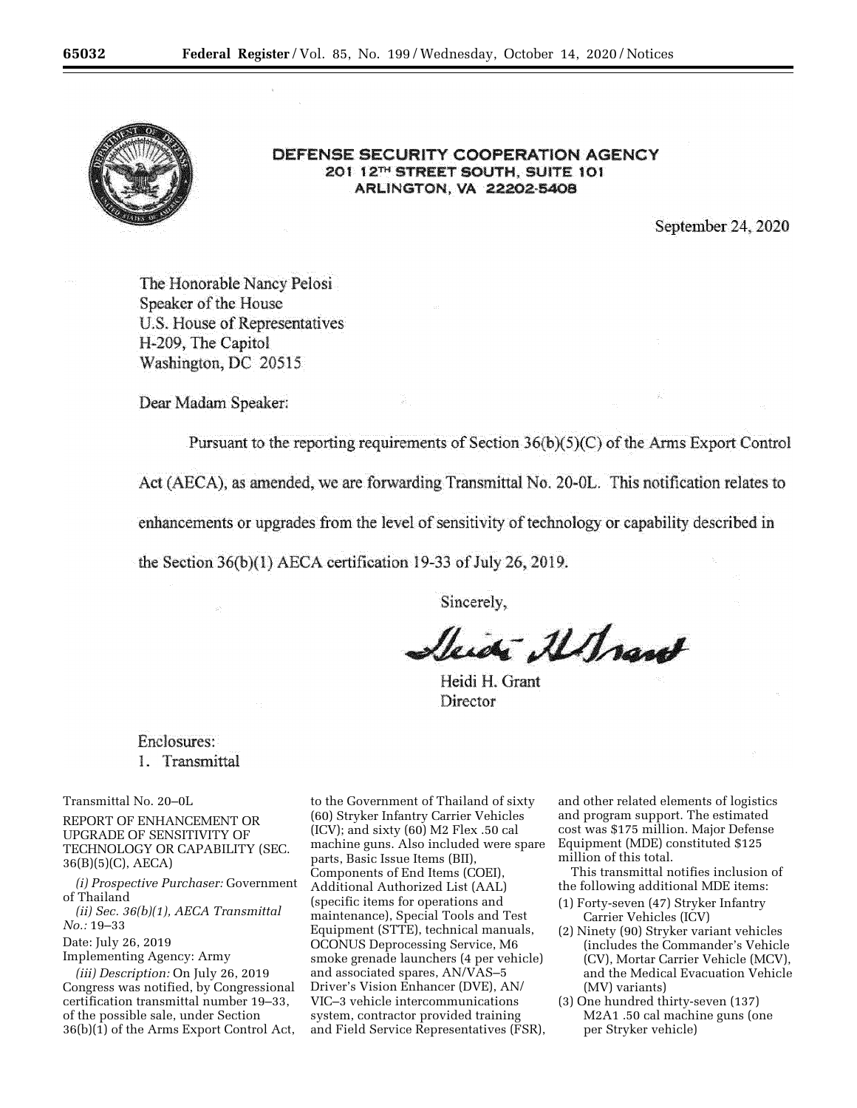

## DEFENSE SECURITY COOPERATION AGENCY 201 12TH STREET SOUTH, SUITE 101 ARLINGTON, VA 22202-5408

September 24, 2020

The Honorable Nancy Pelosi Speaker of the House U.S. House of Representatives H-209, The Capitol Washington, DC 20515

Dear Madam Speaker:

Pursuant to the reporting requirements of Section  $36(b)(5)(C)$  of the Arms Export Control

Act (AECA), as amended, we are forwarding Transmittal No. 20-0L. This notification relates to

enhancements or upgrades from the level of sensitivity of technology or capability described in

the Section  $36(b)(1)$  AECA certification 19-33 of July 26, 2019.

Sincerely,

Victor Altrant

Heidi H. Grant Director

# Enclosures: 1. Transmittal

Transmittal No. 20–0L

REPORT OF ENHANCEMENT OR UPGRADE OF SENSITIVITY OF TECHNOLOGY OR CAPABILITY (SEC. 36(B)(5)(C), AECA)

*(i) Prospective Purchaser:* Government of Thailand

*(ii) Sec. 36(b)(1), AECA Transmittal No.:* 19–33

Date: July 26, 2019

Implementing Agency: Army

*(iii) Description:* On July 26, 2019 Congress was notified, by Congressional certification transmittal number 19–33, of the possible sale, under Section 36(b)(1) of the Arms Export Control Act,

to the Government of Thailand of sixty (60) Stryker Infantry Carrier Vehicles (ICV); and sixty (60) M2 Flex .50 cal machine guns. Also included were spare parts, Basic Issue Items (BII), Components of End Items (COEI), Additional Authorized List (AAL) (specific items for operations and maintenance), Special Tools and Test Equipment (STTE), technical manuals, OCONUS Deprocessing Service, M6 smoke grenade launchers (4 per vehicle) and associated spares, AN/VAS–5 Driver's Vision Enhancer (DVE), AN/ VIC–3 vehicle intercommunications system, contractor provided training and Field Service Representatives (FSR),

and other related elements of logistics and program support. The estimated cost was \$175 million. Major Defense Equipment (MDE) constituted \$125 million of this total.

This transmittal notifies inclusion of the following additional MDE items:

- (1) Forty-seven (47) Stryker Infantry Carrier Vehicles (ICV)
- (2) Ninety (90) Stryker variant vehicles (includes the Commander's Vehicle (CV), Mortar Carrier Vehicle (MCV), and the Medical Evacuation Vehicle (MV) variants)
- (3) One hundred thirty-seven (137) M2A1 .50 cal machine guns (one per Stryker vehicle)